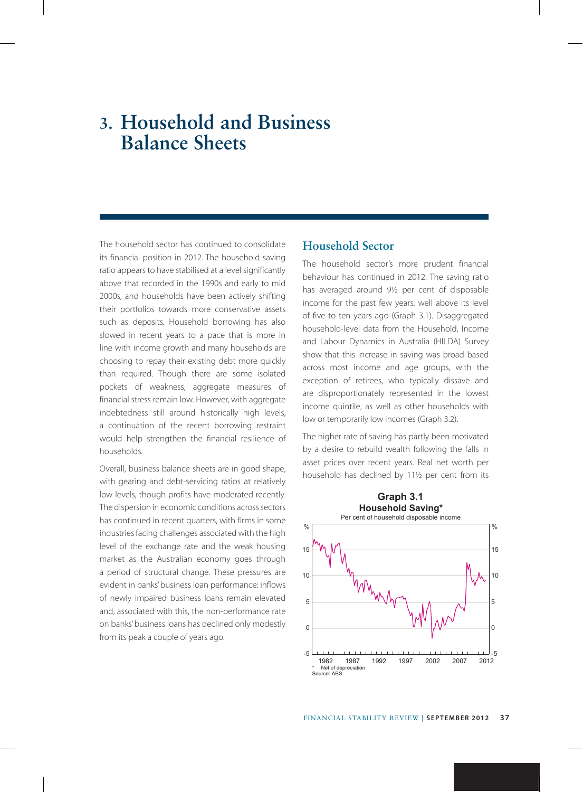# **3. Household and Business Balance Sheets**

The household sector has continued to consolidate its financial position in 2012. The household saving ratio appears to have stabilised at a level significantly above that recorded in the 1990s and early to mid 2000s, and households have been actively shifting their portfolios towards more conservative assets such as deposits. Household borrowing has also slowed in recent years to a pace that is more in line with income growth and many households are choosing to repay their existing debt more quickly than required. Though there are some isolated pockets of weakness, aggregate measures of financial stress remain low. However, with aggregate indebtedness still around historically high levels, a continuation of the recent borrowing restraint would help strengthen the financial resilience of households.

Overall, business balance sheets are in good shape, with gearing and debt-servicing ratios at relatively low levels, though profits have moderated recently. The dispersion in economic conditions across sectors has continued in recent quarters, with firms in some industries facing challenges associated with the high level of the exchange rate and the weak housing market as the Australian economy goes through a period of structural change. These pressures are evident in banks' business loan performance: inflows of newly impaired business loans remain elevated and, associated with this, the non-performance rate on banks' business loans has declined only modestly from its peak a couple of years ago.

## **Household Sector**

The household sector's more prudent financial behaviour has continued in 2012. The saving ratio has averaged around 9½ per cent of disposable income for the past few years, well above its level of five to ten years ago (Graph 3.1). Disaggregated household-level data from the Household, Income and Labour Dynamics in Australia (HILDA) Survey show that this increase in saving was broad based across most income and age groups, with the exception of retirees, who typically dissave and are disproportionately represented in the lowest income quintile, as well as other households with low or temporarily low incomes (Graph 3.2).

The higher rate of saving has partly been motivated by a desire to rebuild wealth following the falls in asset prices over recent years. Real net worth per household has declined by 11½ per cent from its

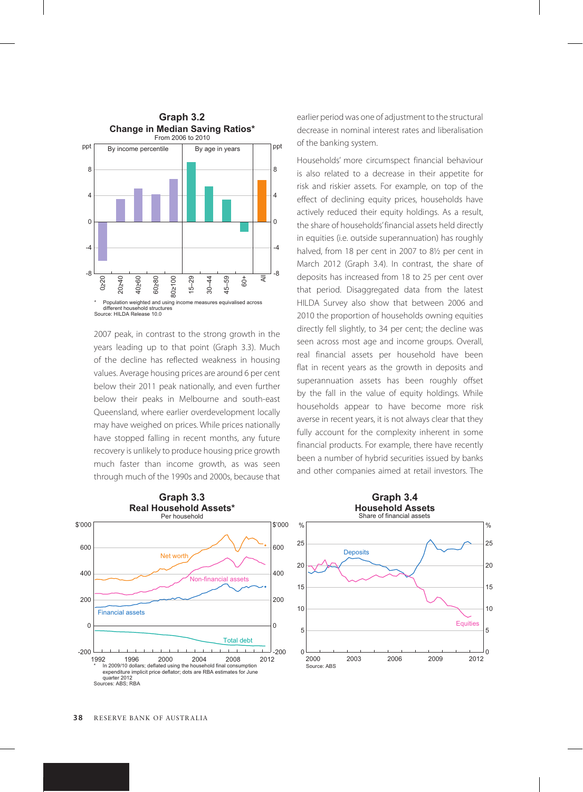

2007 peak, in contrast to the strong growth in the years leading up to that point (Graph 3.3). Much of the decline has reflected weakness in housing values. Average housing prices are around 6 per cent below their 2011 peak nationally, and even further below their peaks in Melbourne and south-east Queensland, where earlier overdevelopment locally may have weighed on prices. While prices nationally have stopped falling in recent months, any future recovery is unlikely to produce housing price growth much faster than income growth, as was seen through much of the 1990s and 2000s, because that earlier period was one of adjustment to the structural decrease in nominal interest rates and liberalisation of the banking system.

Households' more circumspect financial behaviour is also related to a decrease in their appetite for risk and riskier assets. For example, on top of the effect of declining equity prices, households have actively reduced their equity holdings. As a result, the share of households' financial assets held directly in equities (i.e. outside superannuation) has roughly halved, from 18 per cent in 2007 to 8½ per cent in March 2012 (Graph 3.4). In contrast, the share of deposits has increased from 18 to 25 per cent over that period. Disaggregated data from the latest HILDA Survey also show that between 2006 and 2010 the proportion of households owning equities directly fell slightly, to 34 per cent; the decline was seen across most age and income groups. Overall, real financial assets per household have been flat in recent years as the growth in deposits and superannuation assets has been roughly offset by the fall in the value of equity holdings. While households appear to have become more risk averse in recent years, it is not always clear that they fully account for the complexity inherent in some financial products. For example, there have recently been a number of hybrid securities issued by banks and other companies aimed at retail investors. The

0

5

10

15

20

25

 $\frac{1}{2}$ 

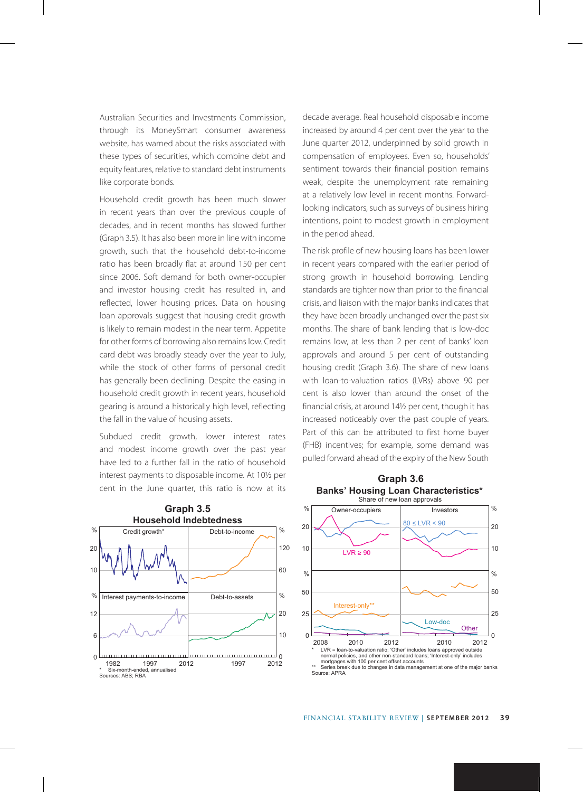Australian Securities and Investments Commission, through its MoneySmart consumer awareness website, has warned about the risks associated with these types of securities, which combine debt and equity features, relative to standard debt instruments like corporate bonds.

Household credit growth has been much slower in recent years than over the previous couple of decades, and in recent months has slowed further (Graph 3.5). It has also been more in line with income growth, such that the household debt-to-income ratio has been broadly flat at around 150 per cent since 2006. Soft demand for both owner-occupier and investor housing credit has resulted in, and reflected, lower housing prices. Data on housing loan approvals suggest that housing credit growth is likely to remain modest in the near term. Appetite for other forms of borrowing also remains low. Credit card debt was broadly steady over the year to July, while the stock of other forms of personal credit has generally been declining. Despite the easing in household credit growth in recent years, household gearing is around a historically high level, reflecting the fall in the value of housing assets.

Subdued credit growth, lower interest rates and modest income growth over the past year have led to a further fall in the ratio of household interest payments to disposable income. At 10½ per cent in the June quarter, this ratio is now at its

**Graph 3.5 Household Indebtedness** % Credit growth\* Debt-to-income 1% Debt-to-income 20 120 10 60  $%$  | Interest payments-to-income | Debt-to-assets |  $%$ Debt-to-assets  $20$ 12 10 6  $\theta$ ە لىبىيا 1997 2012 \* Six-month-ended, annualised 1982 1997 2012 Sources: ABS; RBA

decade average. Real household disposable income increased by around 4 per cent over the year to the June quarter 2012, underpinned by solid growth in compensation of employees. Even so, households' sentiment towards their financial position remains weak, despite the unemployment rate remaining at a relatively low level in recent months. Forwardlooking indicators, such as surveys of business hiring intentions, point to modest growth in employment in the period ahead.

The risk profile of new housing loans has been lower in recent years compared with the earlier period of strong growth in household borrowing. Lending standards are tighter now than prior to the financial crisis, and liaison with the major banks indicates that they have been broadly unchanged over the past six months. The share of bank lending that is low-doc remains low, at less than 2 per cent of banks' loan approvals and around 5 per cent of outstanding housing credit (Graph 3.6). The share of new loans with loan-to-valuation ratios (LVRs) above 90 per cent is also lower than around the onset of the financial crisis, at around 14½ per cent, though it has increased noticeably over the past couple of years. Part of this can be attributed to first home buyer (FHB) incentives; for example, some demand was pulled forward ahead of the expiry of the New South



**Graph 3.6**

Series break due to changes in data management at one of the major banks Source: APRA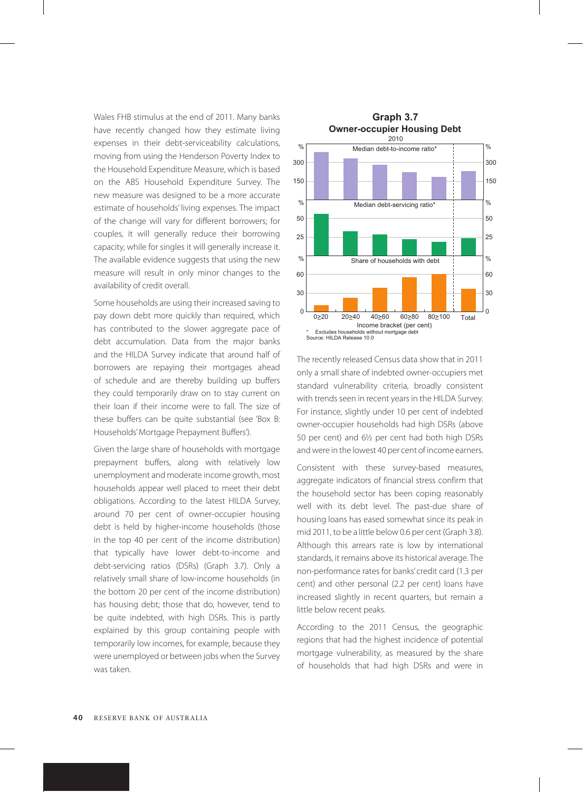Wales FHB stimulus at the end of 2011. Many banks have recently changed how they estimate living expenses in their debt-serviceability calculations, moving from using the Henderson Poverty Index to the Household Expenditure Measure, which is based on the ABS Household Expenditure Survey. The new measure was designed to be a more accurate estimate of households' living expenses. The impact of the change will vary for different borrowers; for couples, it will generally reduce their borrowing capacity, while for singles it will generally increase it. The available evidence suggests that using the new measure will result in only minor changes to the availability of credit overall.

Some households are using their increased saving to pay down debt more quickly than required, which has contributed to the slower aggregate pace of debt accumulation. Data from the major banks and the HILDA Survey indicate that around half of borrowers are repaying their mortgages ahead of schedule and are thereby building up buffers they could temporarily draw on to stay current on their loan if their income were to fall. The size of these buffers can be quite substantial (see 'Box B: Households' Mortgage Prepayment Buffers').

Given the large share of households with mortgage prepayment buffers, along with relatively low unemployment and moderate income growth, most households appear well placed to meet their debt obligations. According to the latest HILDA Survey, around 70 per cent of owner-occupier housing debt is held by higher-income households (those in the top 40 per cent of the income distribution) that typically have lower debt-to-income and debt-servicing ratios (DSRs) (Graph 3.7). Only a relatively small share of low-income households (in the bottom 20 per cent of the income distribution) has housing debt; those that do, however, tend to be quite indebted, with high DSRs. This is partly explained by this group containing people with temporarily low incomes, for example, because they were unemployed or between jobs when the Survey was taken.



The recently released Census data show that in 2011 only a small share of indebted owner-occupiers met standard vulnerability criteria, broadly consistent with trends seen in recent years in the HILDA Survey. For instance, slightly under 10 per cent of indebted owner-occupier households had high DSRs (above 50 per cent) and 6½ per cent had both high DSRs and were in the lowest 40 per cent of income earners.

Consistent with these survey-based measures, aggregate indicators of financial stress confirm that the household sector has been coping reasonably well with its debt level. The past-due share of housing loans has eased somewhat since its peak in mid 2011, to be a little below 0.6 per cent (Graph 3.8). Although this arrears rate is low by international standards, it remains above its historical average. The non-performance rates for banks' credit card (1.3 per cent) and other personal (2.2 per cent) loans have increased slightly in recent quarters, but remain a little below recent peaks.

According to the 2011 Census, the geographic regions that had the highest incidence of potential mortgage vulnerability, as measured by the share of households that had high DSRs and were in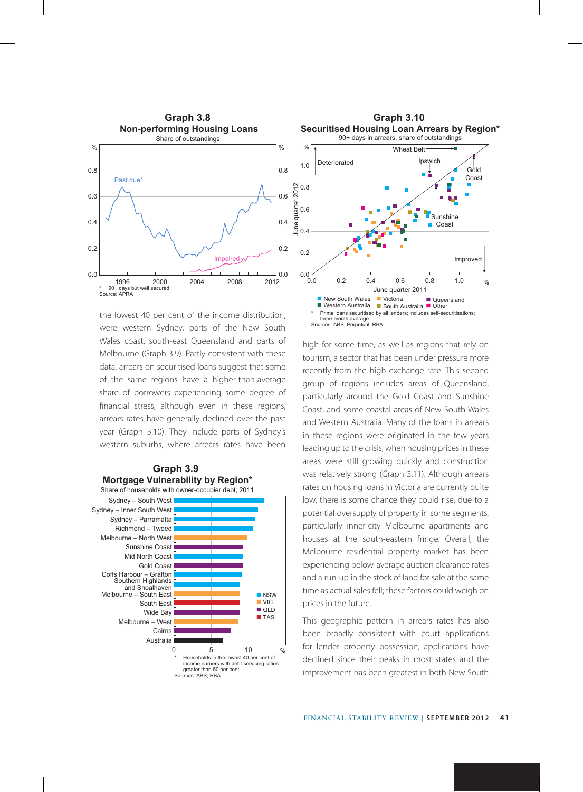

the lowest 40 per cent of the income distribution, were western Sydney, parts of the New South Wales coast, south-east Queensland and parts of Melbourne (Graph 3.9). Partly consistent with these data, arrears on securitised loans suggest that some of the same regions have a higher-than-average share of borrowers experiencing some degree of financial stress, although even in these regions, arrears rates have generally declined over the past year (Graph 3.10). They include parts of Sydney's western suburbs, where arrears rates have been







high for some time, as well as regions that rely on tourism, a sector that has been under pressure more recently from the high exchange rate. This second group of regions includes areas of Queensland, particularly around the Gold Coast and Sunshine Coast, and some coastal areas of New South Wales and Western Australia. Many of the loans in arrears in these regions were originated in the few years leading up to the crisis, when housing prices in these areas were still growing quickly and construction was relatively strong (Graph 3.11). Although arrears rates on housing loans in Victoria are currently quite low, there is some chance they could rise, due to a potential oversupply of property in some segments, particularly inner-city Melbourne apartments and houses at the south-eastern fringe. Overall, the Melbourne residential property market has been experiencing below-average auction clearance rates and a run-up in the stock of land for sale at the same time as actual sales fell; these factors could weigh on prices in the future.

This geographic pattern in arrears rates has also been broadly consistent with court applications for lender property possession; applications have declined since their peaks in most states and the improvement has been greatest in both New South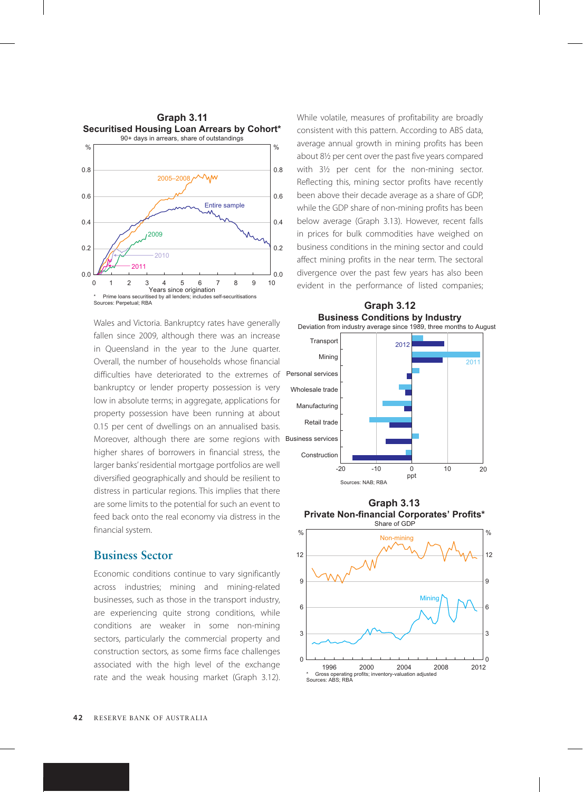

Wales and Victoria. Bankruptcy rates have generally fallen since 2009, although there was an increase in Queensland in the year to the June quarter. Overall, the number of households whose financial difficulties have deteriorated to the extremes of bankruptcy or lender property possession is very low in absolute terms; in aggregate, applications for property possession have been running at about 0.15 per cent of dwellings on an annualised basis. Moreover, although there are some regions with higher shares of borrowers in financial stress, the larger banks' residential mortgage portfolios are well diversified geographically and should be resilient to distress in particular regions. This implies that there are some limits to the potential for such an event to feed back onto the real economy via distress in the financial system.

### **Business Sector**

Economic conditions continue to vary significantly across industries; mining and mining-related businesses, such as those in the transport industry, are experiencing quite strong conditions, while conditions are weaker in some non-mining sectors, particularly the commercial property and construction sectors, as some firms face challenges associated with the high level of the exchange rate and the weak housing market (Graph 3.12). While volatile, measures of profitability are broadly consistent with this pattern. According to ABS data, average annual growth in mining profits has been about 8½ per cent over the past five years compared with 3½ per cent for the non-mining sector. Reflecting this, mining sector profits have recently been above their decade average as a share of GDP, while the GDP share of non-mining profits has been below average (Graph 3.13). However, recent falls in prices for bulk commodities have weighed on business conditions in the mining sector and could affect mining profits in the near term. The sectoral divergence over the past few years has also been evident in the performance of listed companies;



**Graph 3.13 Private Non-financial Corporates' Profits\*** Share of GDP

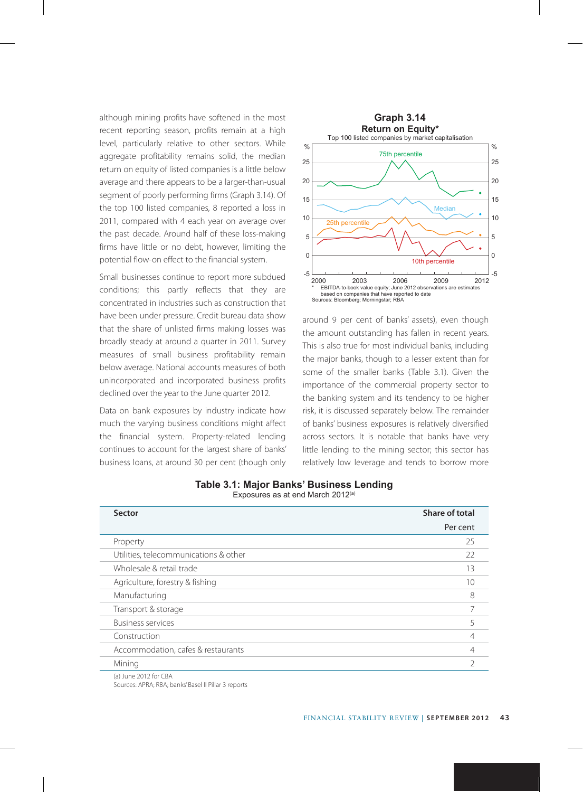although mining profits have softened in the most recent reporting season, profits remain at a high level, particularly relative to other sectors. While aggregate profitability remains solid, the median return on equity of listed companies is a little below average and there appears to be a larger-than-usual segment of poorly performing firms (Graph 3.14). Of the top 100 listed companies, 8 reported a loss in 2011, compared with 4 each year on average over the past decade. Around half of these loss-making firms have little or no debt, however, limiting the potential flow-on effect to the financial system.

Small businesses continue to report more subdued conditions; this partly reflects that they are concentrated in industries such as construction that have been under pressure. Credit bureau data show that the share of unlisted firms making losses was broadly steady at around a quarter in 2011. Survey measures of small business profitability remain below average. National accounts measures of both unincorporated and incorporated business profits declined over the year to the June quarter 2012.

Data on bank exposures by industry indicate how much the varying business conditions might affect the financial system. Property-related lending continues to account for the largest share of banks' business loans, at around 30 per cent (though only



around 9 per cent of banks' assets), even though the amount outstanding has fallen in recent years. This is also true for most individual banks, including the major banks, though to a lesser extent than for some of the smaller banks (Table 3.1). Given the importance of the commercial property sector to the banking system and its tendency to be higher risk, it is discussed separately below. The remainder of banks' business exposures is relatively diversified across sectors. It is notable that banks have very little lending to the mining sector; this sector has relatively low leverage and tends to borrow more

| Sector                                | Share of total |  |
|---------------------------------------|----------------|--|
|                                       | Per cent       |  |
| Property                              | 25             |  |
| Utilities, telecommunications & other | 22             |  |
| Wholesale & retail trade              | 13             |  |
| Agriculture, forestry & fishing       | 10             |  |
| Manufacturing                         | 8              |  |
| Transport & storage                   |                |  |
| <b>Business services</b>              | 5              |  |
| Construction                          |                |  |
| Accommodation, cafes & restaurants    |                |  |
| Mining                                | ำ              |  |

|  |  |                                               | Table 3.1: Major Banks' Business Lending |
|--|--|-----------------------------------------------|------------------------------------------|
|  |  | Exposures as at end March 2012 <sup>(a)</sup> |                                          |

(a) June 2012 for CBA Sources: APRA; RBA; banks' Basel II Pillar 3 reports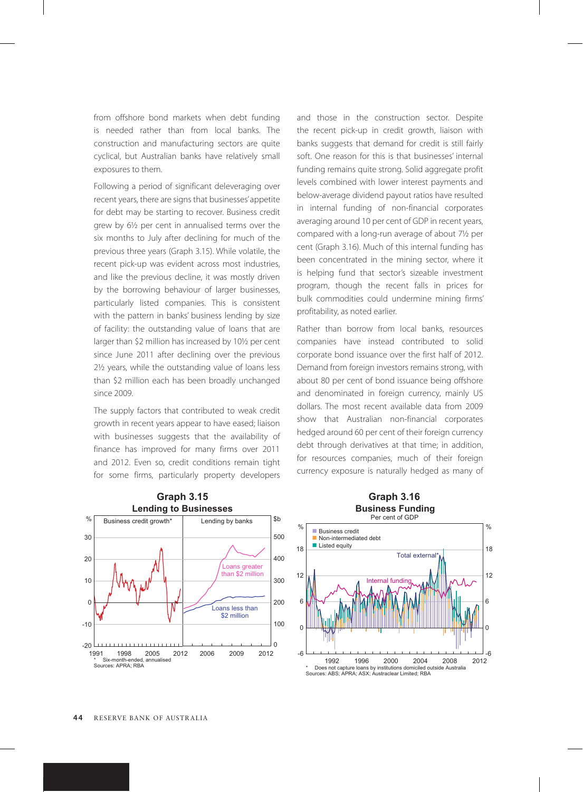from offshore bond markets when debt funding is needed rather than from local banks. The construction and manufacturing sectors are quite cyclical, but Australian banks have relatively small exposures to them.

Following a period of significant deleveraging over recent years, there are signs that businesses' appetite for debt may be starting to recover. Business credit grew by 6½ per cent in annualised terms over the six months to July after declining for much of the previous three years (Graph 3.15). While volatile, the recent pick-up was evident across most industries, and like the previous decline, it was mostly driven by the borrowing behaviour of larger businesses, particularly listed companies. This is consistent with the pattern in banks' business lending by size of facility: the outstanding value of loans that are larger than \$2 million has increased by 101/2 per cent since June 2011 after declining over the previous 2½ years, while the outstanding value of loans less than \$2 million each has been broadly unchanged since 2009.

The supply factors that contributed to weak credit growth in recent years appear to have eased; liaison with businesses suggests that the availability of finance has improved for many firms over 2011 and 2012. Even so, credit conditions remain tight for some firms, particularly property developers and those in the construction sector. Despite the recent pick-up in credit growth, liaison with banks suggests that demand for credit is still fairly soft. One reason for this is that businesses' internal funding remains quite strong. Solid aggregate profit levels combined with lower interest payments and below-average dividend payout ratios have resulted in internal funding of non-financial corporates averaging around 10 per cent of GDP in recent years, compared with a long-run average of about 7½ per cent (Graph 3.16). Much of this internal funding has been concentrated in the mining sector, where it is helping fund that sector's sizeable investment program, though the recent falls in prices for bulk commodities could undermine mining firms' profitability, as noted earlier.

Rather than borrow from local banks, resources companies have instead contributed to solid corporate bond issuance over the first half of 2012. Demand from foreign investors remains strong, with about 80 per cent of bond issuance being offshore and denominated in foreign currency, mainly US dollars. The most recent available data from 2009 show that Australian non-financial corporates hedged around 60 per cent of their foreign currency debt through derivatives at that time; in addition, for resources companies, much of their foreign currency exposure is naturally hedged as many of



#### **Business Funding** Per cent of GDP

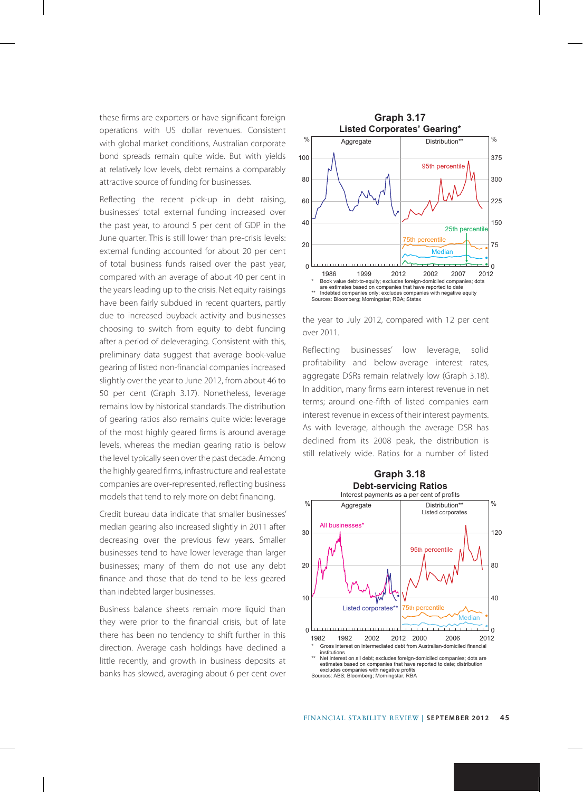these firms are exporters or have significant foreign operations with US dollar revenues. Consistent with global market conditions, Australian corporate bond spreads remain quite wide. But with yields at relatively low levels, debt remains a comparably attractive source of funding for businesses.

Reflecting the recent pick-up in debt raising, businesses' total external funding increased over the past year, to around 5 per cent of GDP in the June quarter. This is still lower than pre-crisis levels: external funding accounted for about 20 per cent of total business funds raised over the past year, compared with an average of about 40 per cent in the years leading up to the crisis. Net equity raisings have been fairly subdued in recent quarters, partly due to increased buyback activity and businesses choosing to switch from equity to debt funding after a period of deleveraging. Consistent with this, preliminary data suggest that average book-value gearing of listed non-financial companies increased slightly over the year to June 2012, from about 46 to 50 per cent (Graph 3.17). Nonetheless, leverage remains low by historical standards. The distribution of gearing ratios also remains quite wide: leverage of the most highly geared firms is around average levels, whereas the median gearing ratio is below the level typically seen over the past decade. Among the highly geared firms, infrastructure and real estate companies are over-represented, reflecting business models that tend to rely more on debt financing.

Credit bureau data indicate that smaller businesses' median gearing also increased slightly in 2011 after decreasing over the previous few years. Smaller businesses tend to have lower leverage than larger businesses; many of them do not use any debt finance and those that do tend to be less geared than indebted larger businesses.

Business balance sheets remain more liquid than they were prior to the financial crisis, but of late there has been no tendency to shift further in this direction. Average cash holdings have declined a little recently, and growth in business deposits at banks has slowed, averaging about 6 per cent over



the year to July 2012, compared with 12 per cent over 2011.

Reflecting businesses' low leverage, solid profitability and below-average interest rates, aggregate DSRs remain relatively low (Graph 3.18). In addition, many firms earn interest revenue in net terms; around one-fifth of listed companies earn interest revenue in excess of their interest payments. As with leverage, although the average DSR has declined from its 2008 peak, the distribution is still relatively wide. Ratios for a number of listed



Sources: ABS; Bloomberg; Morningstar; RBA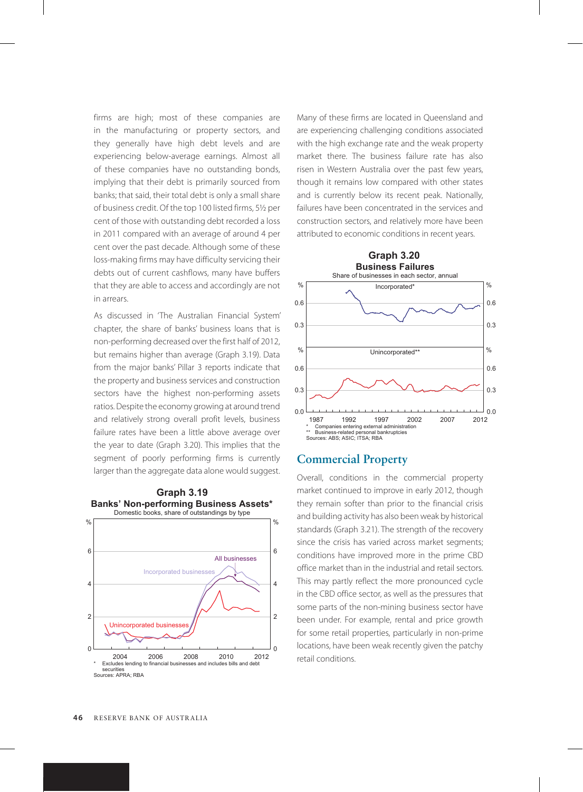firms are high; most of these companies are in the manufacturing or property sectors, and they generally have high debt levels and are experiencing below-average earnings. Almost all of these companies have no outstanding bonds, implying that their debt is primarily sourced from banks; that said, their total debt is only a small share of business credit. Of the top 100 listed firms, 5½ per cent of those with outstanding debt recorded a loss in 2011 compared with an average of around 4 per cent over the past decade. Although some of these loss-making firms may have difficulty servicing their debts out of current cashflows, many have buffers that they are able to access and accordingly are not in arrears.

As discussed in 'The Australian Financial System' chapter, the share of banks' business loans that is non-performing decreased over the first half of 2012, but remains higher than average (Graph 3.19). Data from the major banks' Pillar 3 reports indicate that the property and business services and construction sectors have the highest non-performing assets ratios. Despite the economy growing at around trend and relatively strong overall profit levels, business failure rates have been a little above average over the year to date (Graph 3.20). This implies that the segment of poorly performing firms is currently larger than the aggregate data alone would suggest.



**Graph 3.19**

Many of these firms are located in Queensland and are experiencing challenging conditions associated with the high exchange rate and the weak property market there. The business failure rate has also risen in Western Australia over the past few years, though it remains low compared with other states and is currently below its recent peak. Nationally, failures have been concentrated in the services and construction sectors, and relatively more have been attributed to economic conditions in recent years.



#### **Commercial Property**

Overall, conditions in the commercial property market continued to improve in early 2012, though they remain softer than prior to the financial crisis and building activity has also been weak by historical standards (Graph 3.21). The strength of the recovery since the crisis has varied across market segments; conditions have improved more in the prime CBD office market than in the industrial and retail sectors. This may partly reflect the more pronounced cycle in the CBD office sector, as well as the pressures that some parts of the non-mining business sector have been under. For example, rental and price growth for some retail properties, particularly in non-prime locations, have been weak recently given the patchy retail conditions.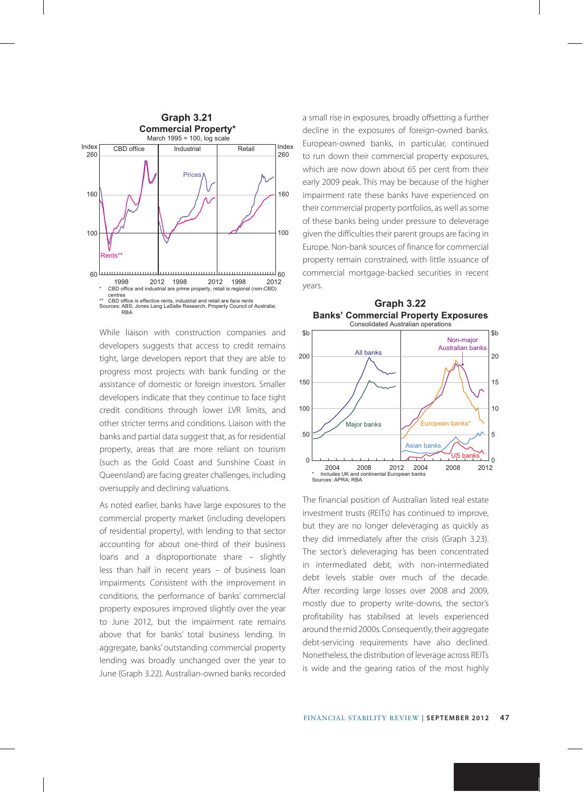

While liaison with construction companies and developers suggests that access to credit remains tight, large developers report that they are able to progress most projects with bank funding or the assistance of domestic or foreign investors. Smaller developers indicate that they continue to face tight credit conditions through lower LVR limits, and other stricter terms and conditions. Liaison with the banks and partial data suggest that, as for residential property, areas that are more reliant on tourism (such as the Gold Coast and Sunshine Coast in Queensland) are facing greater challenges, including oversupply and declining valuations.

As noted earlier, banks have large exposures to the commercial property market (including developers of residential property), with lending to that sector accounting for about one-third of their business loans and a disproportionate share – slightly less than half in recent years – of business loan impairments. Consistent with the improvement in conditions, the performance of banks' commercial property exposures improved slightly over the year to June 2012, but the impairment rate remains above that for banks' total business lending. In aggregate, banks' outstanding commercial property lending was broadly unchanged over the year to June (Graph 3.22). Australian-owned banks recorded a small rise in exposures, broadly offsetting a further decline in the exposures of foreign-owned banks. European-owned banks, in particular, continued to run down their commercial property exposures, which are now down about 65 per cent from their early 2009 peak. This may be because of the higher impairment rate these banks have experienced on their commercial property portfolios, as well as some of these banks being under pressure to deleverage given the difficulties their parent groups are facing in Europe. Non-bank sources of finance for commercial property remain constrained, with little issuance of commercial mortgage-backed securities in recent years.



**Graph 3.22**

The financial position of Australian listed real estate investment trusts (REITs) has continued to improve, but they are no longer deleveraging as quickly as they did immediately after the crisis (Graph 3.23). The sector's deleveraging has been concentrated in intermediated debt, with non-intermediated debt levels stable over much of the decade. After recording large losses over 2008 and 2009, mostly due to property write-downs, the sector's profitability has stabilised at levels experienced around the mid 2000s. Consequently, their aggregate debt-servicing requirements have also declined. Nonetheless, the distribution of leverage across REITs is wide and the gearing ratios of the most highly